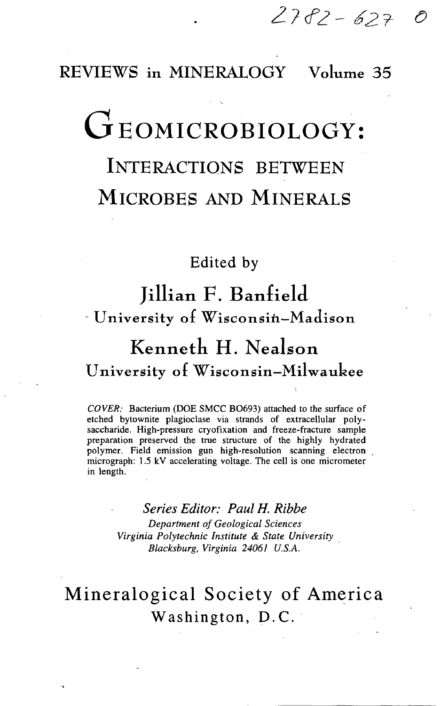### REVIEWS in MINERALOGY Volume 35

# GEOMICROBIOLOGY:

## INTERACTIONS BETWEEN MICROBES AND MINERALS

### Edited by

## Jillian F. Banfield University of Wisconsin—Madison

## Kenneth H. Nealson University 01 Wisconsin—Milwaukee

*COVER:* Bacterium (DOE SMCC BO693) attached to the surface of etched bytownite plagioclase via strands of extracellular polysaccharide. High-pressure cryofixation and freeze-fracture sample preparation preserved the true structure of the highly hydrated polymer. Field emission gun high-resolution scanning electron micrograph: 1.5 kV accelerating voltage. The cell is one micrometer in length.

#### *Series Editor: Paul H. Ribbe*

*Department of Geological Sciences Virginia Polytechnic Institute & State University Blacksburg, Virginia 24061 U.S.A.*

## Mineralogical Society of America Washington, D.C.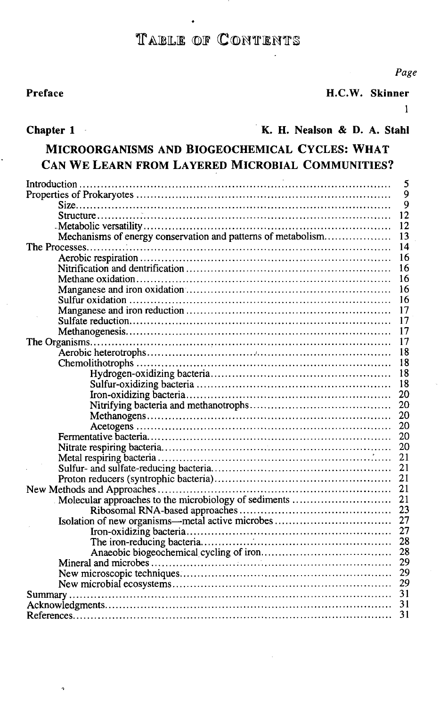### TABLE OF CONTENTS

#### **Preface H.C.W. Skinner**

**1**

## **Chapter 1 K. H. Nealson & D. A. Stahl MICROORGANISMS AND BlOGEOCHEMICAL CYCLES: WHAT CAN WE LEARN FROM LAYERED MlCROBIAL COMMUNITIES?**

|                                                              | 5  |
|--------------------------------------------------------------|----|
|                                                              | 9  |
|                                                              | 9  |
|                                                              | 12 |
|                                                              | 12 |
| Mechanisms of energy conservation and patterns of metabolism | 13 |
|                                                              | 14 |
|                                                              | 16 |
|                                                              | 16 |
|                                                              | 16 |
|                                                              | 16 |
|                                                              | 16 |
|                                                              | 17 |
|                                                              | 17 |
|                                                              | 17 |
|                                                              | 17 |
|                                                              | 18 |
|                                                              | 18 |
|                                                              | 18 |
|                                                              | 18 |
|                                                              |    |
|                                                              | 20 |
|                                                              | 20 |
|                                                              | 20 |
|                                                              | 20 |
|                                                              | 20 |
|                                                              | 20 |
|                                                              | 21 |
|                                                              | 21 |
|                                                              | 21 |
|                                                              | 21 |
| Molecular approaches to the microbiology of sediments        | 21 |
|                                                              | 23 |
| Isolation of new organisms—metal active microbes             | 27 |
|                                                              | 27 |
|                                                              | 28 |
|                                                              | 28 |
|                                                              | 29 |
|                                                              | 29 |
|                                                              | 29 |
|                                                              | 31 |
|                                                              | 31 |
|                                                              | 31 |

*Page*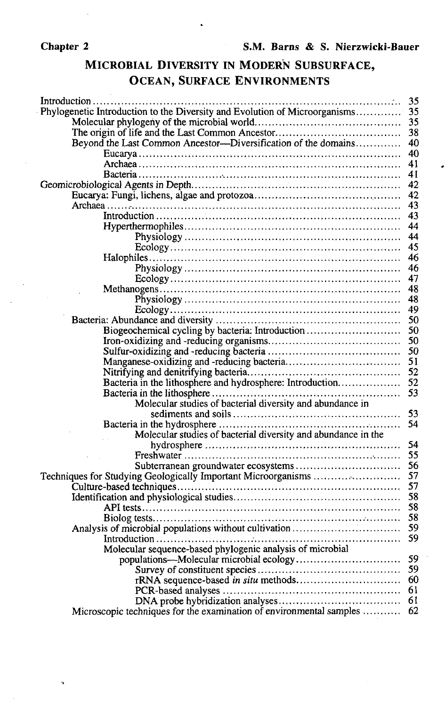### MICROBIAL DIVERSITY IN MODERN SUBSURFACE, OCEAN, SURFACE ENVIRONMENTS

|                                                                            | 35 |
|----------------------------------------------------------------------------|----|
| Phylogenetic Introduction to the Diversity and Evolution of Microorganisms | 35 |
|                                                                            | 35 |
|                                                                            | 38 |
| Beyond the Last Common Ancestor--Diversification of the domains            | 40 |
|                                                                            | 40 |
|                                                                            | 41 |
|                                                                            | 41 |
|                                                                            | 42 |
|                                                                            | 42 |
|                                                                            | 43 |
|                                                                            | 43 |
|                                                                            | 44 |
|                                                                            | 44 |
|                                                                            | 45 |
|                                                                            | 46 |
|                                                                            | 46 |
|                                                                            | 47 |
|                                                                            | 48 |
|                                                                            | 48 |
|                                                                            | 49 |
|                                                                            | 50 |
| Biogeochemical cycling by bacteria: Introduction                           | 50 |
|                                                                            | 50 |
|                                                                            | 50 |
|                                                                            | 51 |
|                                                                            | 52 |
| Bacteria in the lithosphere and hydrosphere: Introduction                  | 52 |
|                                                                            | 53 |
| Molecular studies of bacterial diversity and abundance in                  |    |
|                                                                            | 53 |
|                                                                            | 54 |
| Molecular studies of bacterial diversity and abundance in the              |    |
|                                                                            | 54 |
|                                                                            | 55 |
|                                                                            | 56 |
| Techniques for Studying Geologically Important Microorganisms              | 57 |
|                                                                            | 57 |
|                                                                            | 58 |
|                                                                            | 58 |
|                                                                            | 58 |
| Analysis of microbial populations without cultivation                      | 59 |
|                                                                            | 59 |
| Molecular sequence-based phylogenic analysis of microbial                  |    |
|                                                                            | 59 |
|                                                                            | 59 |
|                                                                            | 60 |
|                                                                            | 61 |
|                                                                            | 61 |
| Microscopic techniques for the examination of environmental samples  62    |    |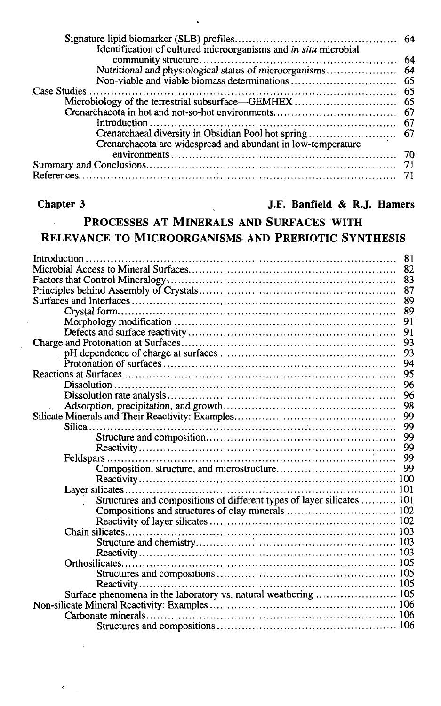| Identification of cultured microorganisms and in situ microbial |  |
|-----------------------------------------------------------------|--|
|                                                                 |  |
|                                                                 |  |
|                                                                 |  |
|                                                                 |  |
|                                                                 |  |
|                                                                 |  |
|                                                                 |  |
|                                                                 |  |
| Crenarchaeota are widespread and abundant in low-temperature    |  |
|                                                                 |  |
|                                                                 |  |
|                                                                 |  |
|                                                                 |  |

 $\tilde{\boldsymbol{\sigma}}$ 

#### **Chapter 3 J.F. Banfield & R.J. Hamers**

#### **PROCESSES AT MINERALS AND SURFACES WITH** l. **RELEVANCE TO MICROORGANISMS AND PREBIOTIC SYNTHESIS**

| 81                                                                     |
|------------------------------------------------------------------------|
| 82                                                                     |
| 83                                                                     |
| 87                                                                     |
| 89                                                                     |
| 89                                                                     |
| 91                                                                     |
| 91                                                                     |
| `93                                                                    |
| 93                                                                     |
| 94                                                                     |
| 95                                                                     |
| 96                                                                     |
| 96                                                                     |
| 98                                                                     |
| 99                                                                     |
| 99                                                                     |
| 99                                                                     |
| 99                                                                     |
| 99                                                                     |
| 99                                                                     |
|                                                                        |
|                                                                        |
| Structures and compositions of different types of layer silicates  101 |
|                                                                        |
|                                                                        |
|                                                                        |
|                                                                        |
|                                                                        |
|                                                                        |
|                                                                        |
|                                                                        |
| Surface phenomena in the laboratory vs. natural weathering  105        |
|                                                                        |
|                                                                        |
|                                                                        |
|                                                                        |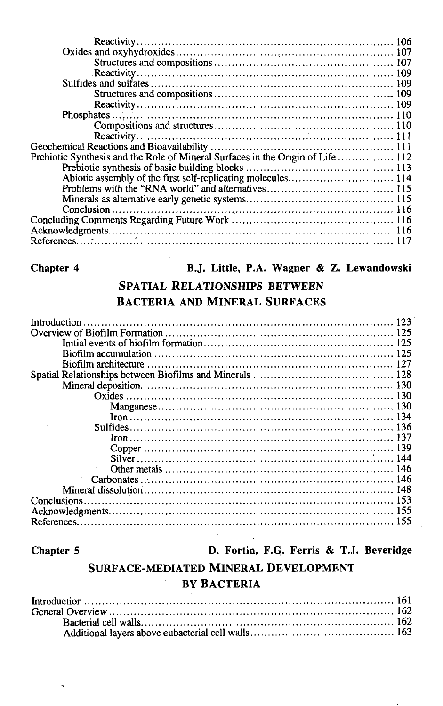| Prebiotic Synthesis and the Role of Mineral Surfaces in the Origin of Life  112 |  |
|---------------------------------------------------------------------------------|--|
|                                                                                 |  |
|                                                                                 |  |
|                                                                                 |  |
|                                                                                 |  |
|                                                                                 |  |
|                                                                                 |  |
|                                                                                 |  |
|                                                                                 |  |
|                                                                                 |  |

#### **Chapter 4 B.J. Little, P.A. Wagner & Z. Lewandowski**

#### **SPATIAL RELATIONSHIPS BETWEEN BACTERIA AND MINERAL SURFACES**

| Introduction |  |
|--------------|--|
|              |  |
|              |  |
|              |  |
|              |  |
|              |  |
|              |  |
|              |  |
|              |  |
|              |  |
|              |  |
|              |  |
|              |  |
|              |  |
|              |  |
|              |  |
|              |  |
|              |  |
|              |  |
|              |  |

h,

**Chapter 5 D. Fortin, F.G. Ferris & T.J. Beveridge**

### **SURFACE-MEDIATED MINERAL DEVELOPMENT BY BACTERIA**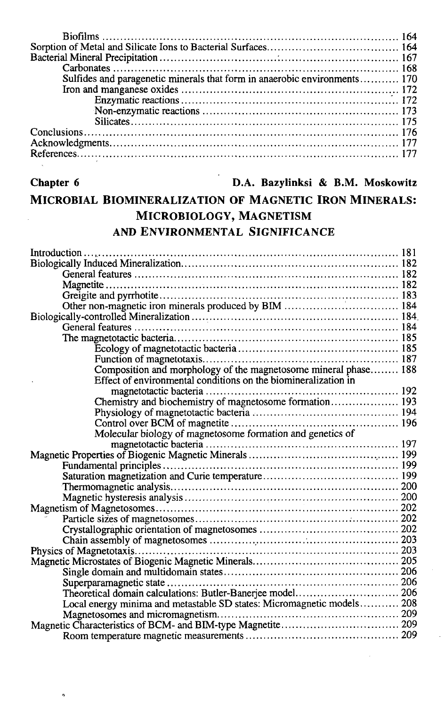| Sulfides and paragenetic minerals that form in anaerobic environments 170 |  |
|---------------------------------------------------------------------------|--|
|                                                                           |  |
|                                                                           |  |
|                                                                           |  |
|                                                                           |  |
|                                                                           |  |
|                                                                           |  |
|                                                                           |  |
|                                                                           |  |

#### **Chapter 6 D.A. Bazylinksi** & **B.M. Moskowitz**

#### MICROBIAL BIOMINERALIZATION OF MAGNETIC IRON MINERALS: MICROBIOLOGY, MAGNETISM AND ENVIRONMENTAL SIGNIFICANCE

| Composition and morphology of the magnetosome mineral phase 188        |  |
|------------------------------------------------------------------------|--|
| Effect of environmental conditions on the biomineralization in         |  |
|                                                                        |  |
| Chemistry and biochemistry of magnetosome formation 193                |  |
|                                                                        |  |
|                                                                        |  |
| Molecular biology of magnetosome formation and genetics of             |  |
|                                                                        |  |
|                                                                        |  |
|                                                                        |  |
|                                                                        |  |
|                                                                        |  |
|                                                                        |  |
|                                                                        |  |
|                                                                        |  |
|                                                                        |  |
|                                                                        |  |
|                                                                        |  |
|                                                                        |  |
|                                                                        |  |
|                                                                        |  |
| Theoretical domain calculations: Butler-Banerjee model 206             |  |
| Local energy minima and metastable SD states: Micromagnetic models 208 |  |
|                                                                        |  |
|                                                                        |  |
|                                                                        |  |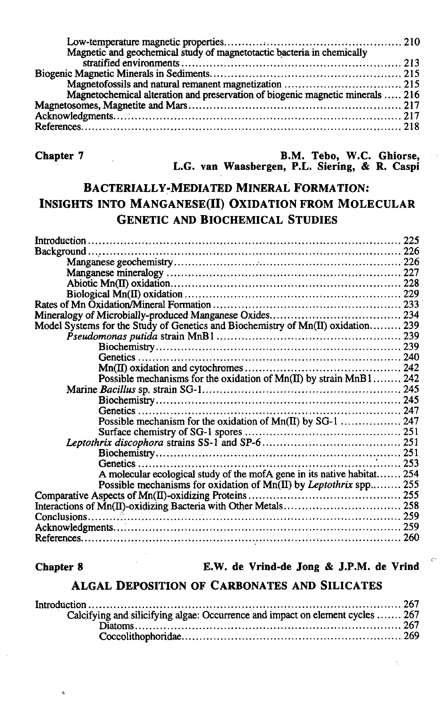| Magnetic and geochemical study of magnetotactic bacteria in chemically         |  |
|--------------------------------------------------------------------------------|--|
|                                                                                |  |
|                                                                                |  |
|                                                                                |  |
| Magnetochemical alteration and preservation of biogenic magnetic minerals  216 |  |
|                                                                                |  |
|                                                                                |  |
|                                                                                |  |

**Chapter 7 B.M. Tebo, W.C. Ghiorse, L.G. van Waasbergen, P.L. Siering,** & **R. Caspi**

### BACTERIALLY-MEDIATED MINERAL FORMATION: INSIGHTS INTO MANGANESE(II) OXIDATION FROM MOLECULAR GENETIC AND BIOCHEMICAL STUDIES

| Model Systems for the Study of Genetics and Biochemistry of Mn(II) oxidation 239 |  |
|----------------------------------------------------------------------------------|--|
|                                                                                  |  |
|                                                                                  |  |
|                                                                                  |  |
|                                                                                  |  |
| Possible mechanisms for the oxidation of Mn(II) by strain MnB1 242               |  |
|                                                                                  |  |
|                                                                                  |  |
|                                                                                  |  |
|                                                                                  |  |
|                                                                                  |  |
|                                                                                  |  |
|                                                                                  |  |
|                                                                                  |  |
| A molecular ecological study of the mofA gene in its native habitat 254          |  |
| Possible mechanisms for oxidation of Mn(II) by Leptothrix spp 255                |  |
|                                                                                  |  |
|                                                                                  |  |
|                                                                                  |  |
|                                                                                  |  |
|                                                                                  |  |
|                                                                                  |  |

**Chapter 8 E.W. de Vrind-de Jong & J.P.M. de Vrind**

#### **ALGAL DEPOSITION OF CARBONATES AND SILICATES**

| Calcifying and silicifying algae: Occurrence and impact on element cycles  267 |  |
|--------------------------------------------------------------------------------|--|
|                                                                                |  |
|                                                                                |  |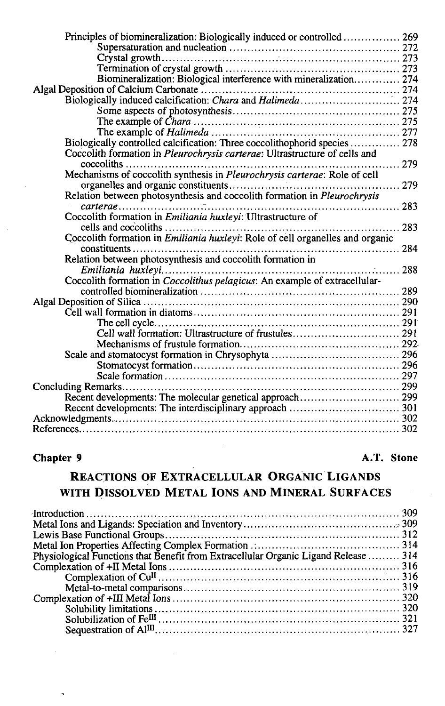| Principles of biomineralization: Biologically induced or controlled  269             |  |
|--------------------------------------------------------------------------------------|--|
|                                                                                      |  |
|                                                                                      |  |
|                                                                                      |  |
| Biomineralization: Biological interference with mineralization 274                   |  |
|                                                                                      |  |
|                                                                                      |  |
|                                                                                      |  |
|                                                                                      |  |
|                                                                                      |  |
| Biologically controlled calcification: Three coccolithophorid species  278           |  |
| Coccolith formation in Pleurochrysis carterae: Ultrastructure of cells and           |  |
| $coccoliths$                                                                         |  |
|                                                                                      |  |
| . 279                                                                                |  |
| Relation between photosynthesis and coccolith formation in Pleurochrysis             |  |
| . 283<br>$carterae \dots \dots \dots \dots \dots \dots \dots \dots \dots$            |  |
| Coccolith formation in Emiliania huxleyi: Ultrastructure of                          |  |
|                                                                                      |  |
| Coccolith formation in <i>Emiliania huxleyi:</i> Role of cell organelles and organic |  |
|                                                                                      |  |
| Relation between photosynthesis and coccolith formation in                           |  |
|                                                                                      |  |
| Coccolith formation in Coccolithus pelagicus: An example of extracellular-           |  |
|                                                                                      |  |
|                                                                                      |  |
|                                                                                      |  |
|                                                                                      |  |
| Cell wall formation: Ultrastructure of frustules 291                                 |  |
|                                                                                      |  |
|                                                                                      |  |
|                                                                                      |  |
|                                                                                      |  |
|                                                                                      |  |
| Recent developments: The molecular genetical approach 299                            |  |
|                                                                                      |  |
|                                                                                      |  |
|                                                                                      |  |
|                                                                                      |  |

 $\ddot{\phantom{0}}$ 

#### **Chapter 9 A.T. Stone**

### **REACTIONS OF EXTRACELLULAR ORGANIC LlGANDS WITH DISSOLVED METAL IONS AND MINERAL SURFACES**

| Physiological Functions that Benefit from Extracellular Organic Ligand Release  314 |  |
|-------------------------------------------------------------------------------------|--|
|                                                                                     |  |
|                                                                                     |  |
|                                                                                     |  |
|                                                                                     |  |
|                                                                                     |  |
|                                                                                     |  |
|                                                                                     |  |
|                                                                                     |  |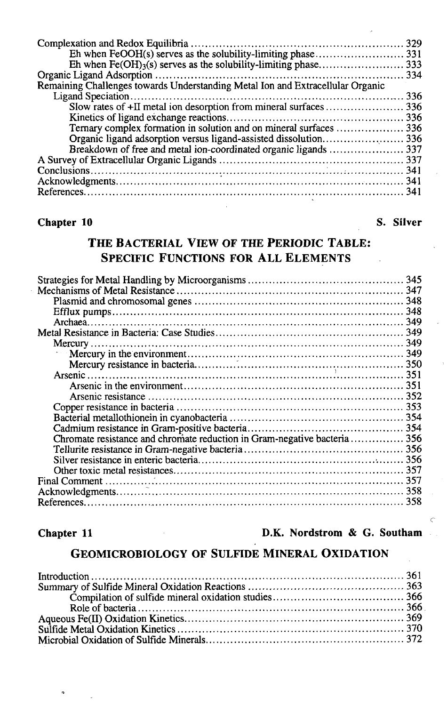| Remaining Challenges towards Understanding Metal Ion and Extracellular Organic |  |
|--------------------------------------------------------------------------------|--|
|                                                                                |  |
|                                                                                |  |
|                                                                                |  |
| Ternary complex formation in solution and on mineral surfaces  336             |  |
|                                                                                |  |
| Breakdown of free and metal ion-coordinated organic ligands  337               |  |
|                                                                                |  |
|                                                                                |  |
|                                                                                |  |
|                                                                                |  |
|                                                                                |  |

#### **Chapter 10** S. Silver

### **THE BACTERIAL VIEW OF THE PERIODIC TABLE: SPECIFIC FUNCTIONS FOR ALL ELEMENTS**

| Chromate resistance and chromate reduction in Gram-negative bacteria356 |  |
|-------------------------------------------------------------------------|--|
|                                                                         |  |
|                                                                         |  |
|                                                                         |  |
|                                                                         |  |
|                                                                         |  |
|                                                                         |  |
|                                                                         |  |

**Chapter 11 D.K. Nordstrom & G. Southam** 

#### GEOMICROBIOLOGY OF SULFIDE MINERAL OXIDATION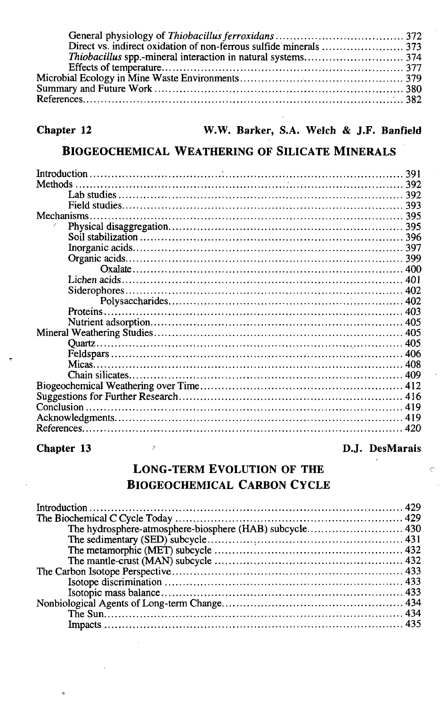#### **BIOGEOCHEMICAL WEATHERING OF SILICATE MINERALS**

| Methods     |  |
|-------------|--|
|             |  |
|             |  |
| Mechanisms. |  |
|             |  |
|             |  |
|             |  |
|             |  |
|             |  |
|             |  |
|             |  |
|             |  |
|             |  |
|             |  |
|             |  |
|             |  |
|             |  |
|             |  |
|             |  |
|             |  |
|             |  |
|             |  |
|             |  |
|             |  |
|             |  |

#### **Chapter 13** D.J. DesMarais

#### LONG-TERM EVOLUTION OF THE BIOGEOCHEMICAL CARBON CYCLE